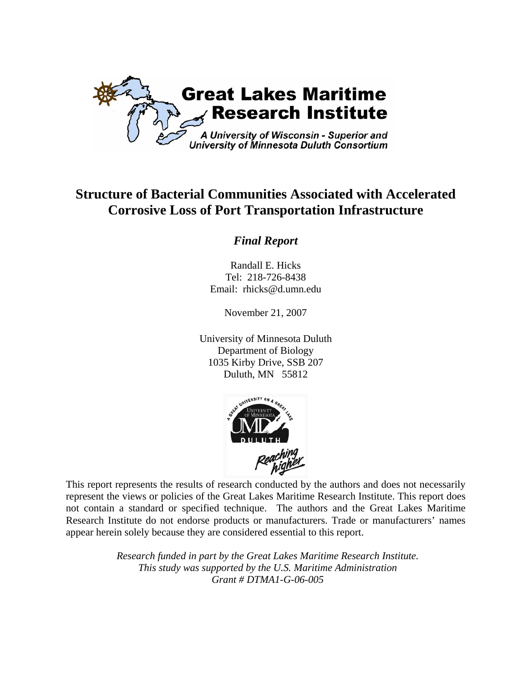

# **Structure of Bacterial Communities Associated with Accelerated Corrosive Loss of Port Transportation Infrastructure**

# *Final Report*

Randall E. Hicks Tel: 218-726-8438 Email: rhicks@d.umn.edu

November 21, 2007

University of Minnesota Duluth Department of Biology 1035 Kirby Drive, SSB 207 Duluth, MN 55812



This report represents the results of research conducted by the authors and does not necessarily represent the views or policies of the Great Lakes Maritime Research Institute. This report does not contain a standard or specified technique. The authors and the Great Lakes Maritime Research Institute do not endorse products or manufacturers. Trade or manufacturers' names appear herein solely because they are considered essential to this report.

> *Research funded in part by the Great Lakes Maritime Research Institute. This study was supported by the U.S. Maritime Administration Grant # DTMA1-G-06-005*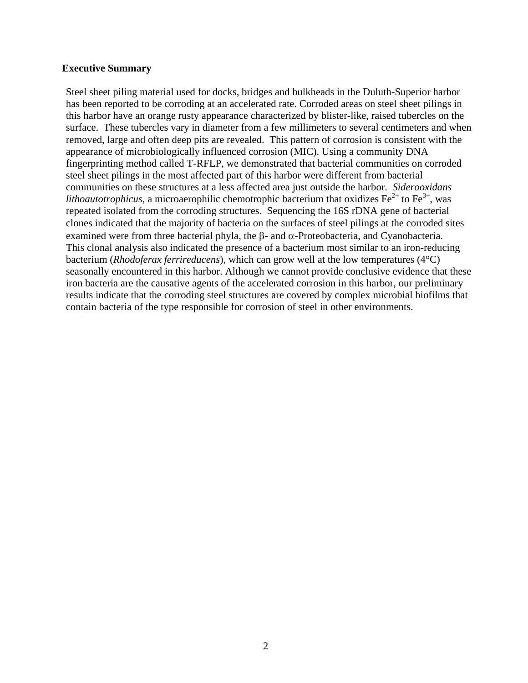#### **Executive Summary**

Steel sheet piling material used for docks, bridges and bulkheads in the Duluth-Superior harbor has been reported to be corroding at an accelerated rate. Corroded areas on steel sheet pilings in this harbor have an orange rusty appearance characterized by blister-like, raised tubercles on the surface. These tubercles vary in diameter from a few millimeters to several centimeters and when removed, large and often deep pits are revealed. This pattern of corrosion is consistent with the appearance of microbiologically influenced corrosion (MIC). Using a community DNA fingerprinting method called T-RFLP, we demonstrated that bacterial communities on corroded steel sheet pilings in the most affected part of this harbor were different from bacterial communities on these structures at a less affected area just outside the harbor. *Siderooxidans lithoautotrophicus*, a microaerophilic chemotrophic bacterium that oxidizes  $\text{Fe}^{2+}$  to  $\text{Fe}^{3+}$ , was repeated isolated from the corroding structures. Sequencing the 16S rDNA gene of bacterial clones indicated that the majority of bacteria on the surfaces of steel pilings at the corroded sites examined were from three bacterial phyla, the β- and α-Proteobacteria, and Cyanobacteria. This clonal analysis also indicated the presence of a bacterium most similar to an iron-reducing bacterium (*Rhodoferax ferrireducens*), which can grow well at the low temperatures (4°C) seasonally encountered in this harbor. Although we cannot provide conclusive evidence that these iron bacteria are the causative agents of the accelerated corrosion in this harbor, our preliminary results indicate that the corroding steel structures are covered by complex microbial biofilms that contain bacteria of the type responsible for corrosion of steel in other environments.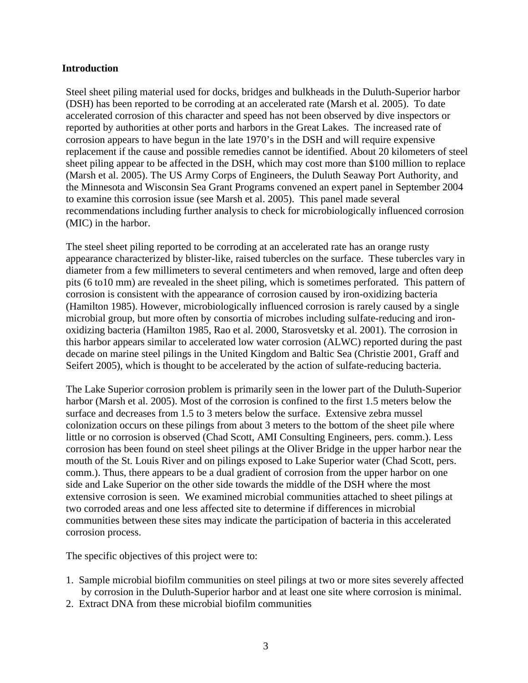#### **Introduction**

Steel sheet piling material used for docks, bridges and bulkheads in the Duluth-Superior harbor (DSH) has been reported to be corroding at an accelerated rate (Marsh et al. 2005). To date accelerated corrosion of this character and speed has not been observed by dive inspectors or reported by authorities at other ports and harbors in the Great Lakes. The increased rate of corrosion appears to have begun in the late 1970's in the DSH and will require expensive replacement if the cause and possible remedies cannot be identified. About 20 kilometers of steel sheet piling appear to be affected in the DSH, which may cost more than \$100 million to replace (Marsh et al. 2005). The US Army Corps of Engineers, the Duluth Seaway Port Authority, and the Minnesota and Wisconsin Sea Grant Programs convened an expert panel in September 2004 to examine this corrosion issue (see Marsh et al. 2005). This panel made several recommendations including further analysis to check for microbiologically influenced corrosion (MIC) in the harbor.

The steel sheet piling reported to be corroding at an accelerated rate has an orange rusty appearance characterized by blister-like, raised tubercles on the surface. These tubercles vary in diameter from a few millimeters to several centimeters and when removed, large and often deep pits (6 to10 mm) are revealed in the sheet piling, which is sometimes perforated. This pattern of corrosion is consistent with the appearance of corrosion caused by iron-oxidizing bacteria (Hamilton 1985). However, microbiologically influenced corrosion is rarely caused by a single microbial group, but more often by consortia of microbes including sulfate-reducing and ironoxidizing bacteria (Hamilton 1985, Rao et al. 2000, Starosvetsky et al. 2001). The corrosion in this harbor appears similar to accelerated low water corrosion (ALWC) reported during the past decade on marine steel pilings in the United Kingdom and Baltic Sea (Christie 2001, Graff and Seifert 2005), which is thought to be accelerated by the action of sulfate-reducing bacteria.

The Lake Superior corrosion problem is primarily seen in the lower part of the Duluth-Superior harbor (Marsh et al. 2005). Most of the corrosion is confined to the first 1.5 meters below the surface and decreases from 1.5 to 3 meters below the surface. Extensive zebra mussel colonization occurs on these pilings from about 3 meters to the bottom of the sheet pile where little or no corrosion is observed (Chad Scott, AMI Consulting Engineers, pers. comm.). Less corrosion has been found on steel sheet pilings at the Oliver Bridge in the upper harbor near the mouth of the St. Louis River and on pilings exposed to Lake Superior water (Chad Scott, pers. comm.). Thus, there appears to be a dual gradient of corrosion from the upper harbor on one side and Lake Superior on the other side towards the middle of the DSH where the most extensive corrosion is seen. We examined microbial communities attached to sheet pilings at two corroded areas and one less affected site to determine if differences in microbial communities between these sites may indicate the participation of bacteria in this accelerated corrosion process.

The specific objectives of this project were to:

- 1. Sample microbial biofilm communities on steel pilings at two or more sites severely affected by corrosion in the Duluth-Superior harbor and at least one site where corrosion is minimal.
- 2. Extract DNA from these microbial biofilm communities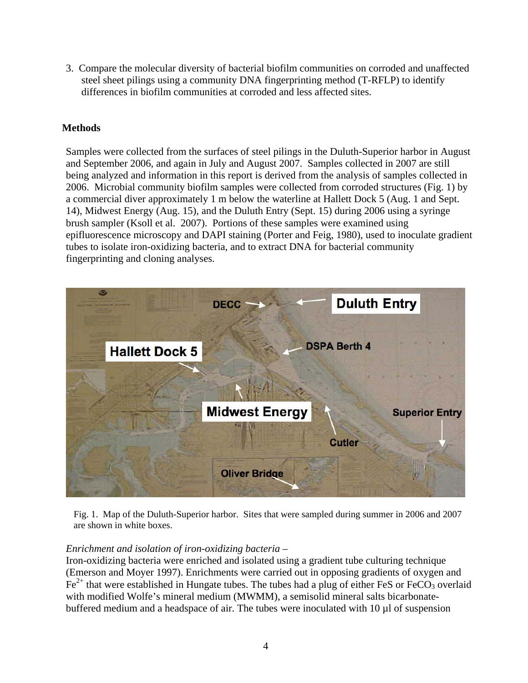3. Compare the molecular diversity of bacterial biofilm communities on corroded and unaffected steel sheet pilings using a community DNA fingerprinting method (T-RFLP) to identify differences in biofilm communities at corroded and less affected sites.

# **Methods**

Samples were collected from the surfaces of steel pilings in the Duluth-Superior harbor in August and September 2006, and again in July and August 2007. Samples collected in 2007 are still being analyzed and information in this report is derived from the analysis of samples collected in 2006. Microbial community biofilm samples were collected from corroded structures (Fig. 1) by a commercial diver approximately 1 m below the waterline at Hallett Dock 5 (Aug. 1 and Sept. 14), Midwest Energy (Aug. 15), and the Duluth Entry (Sept. 15) during 2006 using a syringe brush sampler (Ksoll et al. 2007). Portions of these samples were examined using epifluorescence microscopy and DAPI staining (Porter and Feig, 1980), used to inoculate gradient tubes to isolate iron-oxidizing bacteria, and to extract DNA for bacterial community fingerprinting and cloning analyses.



Fig. 1. Map of the Duluth-Superior harbor. Sites that were sampled during summer in 2006 and 2007 are shown in white boxes.

# *Enrichment and isolation of iron-oxidizing bacteria –*

Iron-oxidizing bacteria were enriched and isolated using a gradient tube culturing technique (Emerson and Moyer 1997). Enrichments were carried out in opposing gradients of oxygen and  $Fe<sup>2+</sup>$  that were established in Hungate tubes. The tubes had a plug of either FeS or FeCO<sub>3</sub> overlaid with modified Wolfe's mineral medium (MWMM), a semisolid mineral salts bicarbonatebuffered medium and a headspace of air. The tubes were inoculated with 10 µl of suspension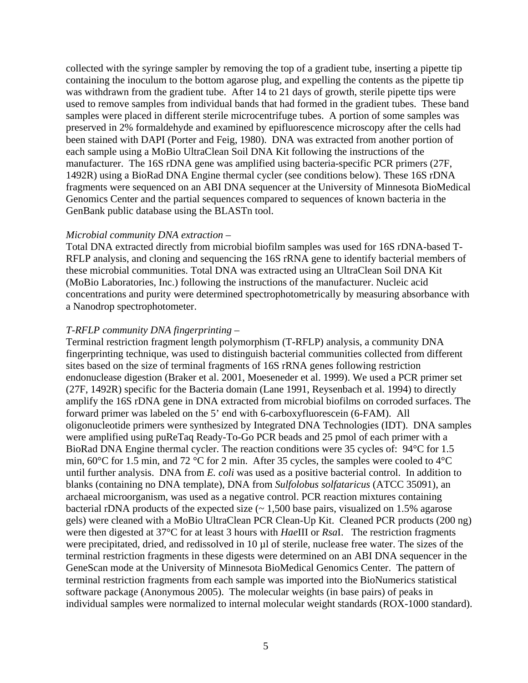collected with the syringe sampler by removing the top of a gradient tube, inserting a pipette tip containing the inoculum to the bottom agarose plug, and expelling the contents as the pipette tip was withdrawn from the gradient tube. After 14 to 21 days of growth, sterile pipette tips were used to remove samples from individual bands that had formed in the gradient tubes. These band samples were placed in different sterile microcentrifuge tubes. A portion of some samples was preserved in 2% formaldehyde and examined by epifluorescence microscopy after the cells had been stained with DAPI (Porter and Feig, 1980). DNA was extracted from another portion of each sample using a MoBio UltraClean Soil DNA Kit following the instructions of the manufacturer. The 16S rDNA gene was amplified using bacteria-specific PCR primers (27F, 1492R) using a BioRad DNA Engine thermal cycler (see conditions below). These 16S rDNA fragments were sequenced on an ABI DNA sequencer at the University of Minnesota BioMedical Genomics Center and the partial sequences compared to sequences of known bacteria in the GenBank public database using the BLASTn tool.

#### *Microbial community DNA extraction –*

Total DNA extracted directly from microbial biofilm samples was used for 16S rDNA-based T-RFLP analysis, and cloning and sequencing the 16S rRNA gene to identify bacterial members of these microbial communities. Total DNA was extracted using an UltraClean Soil DNA Kit (MoBio Laboratories, Inc.) following the instructions of the manufacturer. Nucleic acid concentrations and purity were determined spectrophotometrically by measuring absorbance with a Nanodrop spectrophotometer.

# *T-RFLP community DNA fingerprinting –*

Terminal restriction fragment length polymorphism (T-RFLP) analysis, a community DNA fingerprinting technique, was used to distinguish bacterial communities collected from different sites based on the size of terminal fragments of 16S rRNA genes following restriction endonuclease digestion (Braker et al. 2001, Moeseneder et al. 1999). We used a PCR primer set (27F, 1492R) specific for the Bacteria domain (Lane 1991, Reysenbach et al. 1994) to directly amplify the 16S rDNA gene in DNA extracted from microbial biofilms on corroded surfaces. The forward primer was labeled on the 5' end with 6-carboxyfluorescein (6-FAM). All oligonucleotide primers were synthesized by Integrated DNA Technologies (IDT). DNA samples were amplified using puReTaq Ready-To-Go PCR beads and 25 pmol of each primer with a BioRad DNA Engine thermal cycler. The reaction conditions were 35 cycles of: 94°C for 1.5 min, 60°C for 1.5 min, and 72 °C for 2 min. After 35 cycles, the samples were cooled to 4°C until further analysis. DNA from *E. coli* was used as a positive bacterial control. In addition to blanks (containing no DNA template), DNA from *Sulfolobus solfataricus* (ATCC 35091), an archaeal microorganism, was used as a negative control. PCR reaction mixtures containing bacterial rDNA products of the expected size  $(-1,500)$  base pairs, visualized on 1.5% agarose gels) were cleaned with a MoBio UltraClean PCR Clean-Up Kit. Cleaned PCR products (200 ng) were then digested at 37°C for at least 3 hours with *Hae*III or *Rsa*I. The restriction fragments were precipitated, dried, and redissolved in 10 µl of sterile, nuclease free water. The sizes of the terminal restriction fragments in these digests were determined on an ABI DNA sequencer in the GeneScan mode at the University of Minnesota BioMedical Genomics Center. The pattern of terminal restriction fragments from each sample was imported into the BioNumerics statistical software package (Anonymous 2005). The molecular weights (in base pairs) of peaks in individual samples were normalized to internal molecular weight standards (ROX-1000 standard).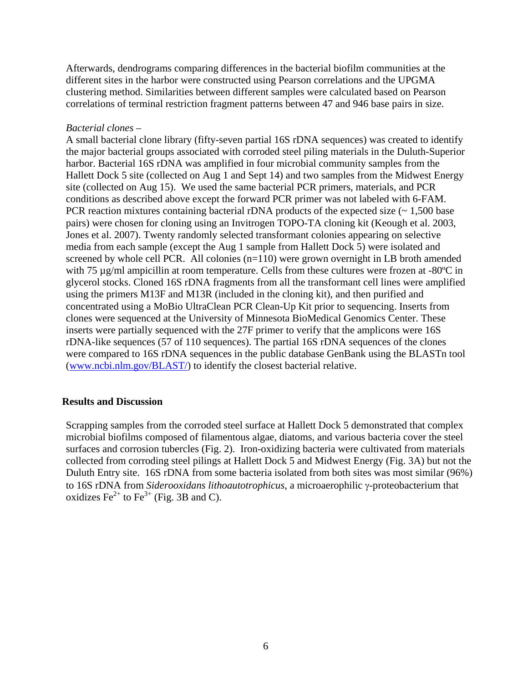Afterwards, dendrograms comparing differences in the bacterial biofilm communities at the different sites in the harbor were constructed using Pearson correlations and the UPGMA clustering method. Similarities between different samples were calculated based on Pearson correlations of terminal restriction fragment patterns between 47 and 946 base pairs in size.

#### *Bacterial clones –*

A small bacterial clone library (fifty-seven partial 16S rDNA sequences) was created to identify the major bacterial groups associated with corroded steel piling materials in the Duluth-Superior harbor. Bacterial 16S rDNA was amplified in four microbial community samples from the Hallett Dock 5 site (collected on Aug 1 and Sept 14) and two samples from the Midwest Energy site (collected on Aug 15). We used the same bacterial PCR primers, materials, and PCR conditions as described above except the forward PCR primer was not labeled with 6-FAM. PCR reaction mixtures containing bacterial rDNA products of the expected size  $(\sim 1.500$  base pairs) were chosen for cloning using an Invitrogen TOPO-TA cloning kit (Keough et al. 2003, Jones et al. 2007). Twenty randomly selected transformant colonies appearing on selective media from each sample (except the Aug 1 sample from Hallett Dock 5) were isolated and screened by whole cell PCR. All colonies (n=110) were grown overnight in LB broth amended with 75 µg/ml ampicillin at room temperature. Cells from these cultures were frozen at -80°C in glycerol stocks. Cloned 16S rDNA fragments from all the transformant cell lines were amplified using the primers M13F and M13R (included in the cloning kit), and then purified and concentrated using a MoBio UltraClean PCR Clean-Up Kit prior to sequencing. Inserts from clones were sequenced at the University of Minnesota BioMedical Genomics Center. These inserts were partially sequenced with the 27F primer to verify that the amplicons were 16S rDNA-like sequences (57 of 110 sequences). The partial 16S rDNA sequences of the clones were compared to 16S rDNA sequences in the public database GenBank using the BLASTn tool ([www.ncbi.nlm.gov/BLAST/](http://www.ncbi.nlm.gov/BLAST/)) to identify the closest bacterial relative.

# **Results and Discussion**

Scrapping samples from the corroded steel surface at Hallett Dock 5 demonstrated that complex microbial biofilms composed of filamentous algae, diatoms, and various bacteria cover the steel surfaces and corrosion tubercles (Fig. 2). Iron-oxidizing bacteria were cultivated from materials collected from corroding steel pilings at Hallett Dock 5 and Midwest Energy (Fig. 3A) but not the Duluth Entry site. 16S rDNA from some bacteria isolated from both sites was most similar (96%) to 16S rDNA from *Siderooxidans lithoautotrophicus*, a microaerophilic γ-proteobacterium that oxidizes  $\text{Fe}^{2+}$  to  $\text{Fe}^{3+}$  (Fig. 3B and C).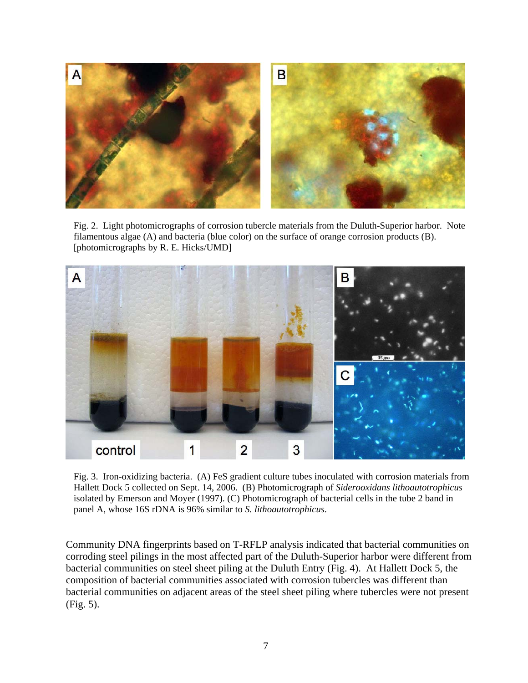

Fig. 2. Light photomicrographs of corrosion tubercle materials from the Duluth-Superior harbor. Note filamentous algae (A) and bacteria (blue color) on the surface of orange corrosion products (B). [photomicrographs by R. E. Hicks/UMD]



Fig. 3. Iron-oxidizing bacteria. (A) FeS gradient culture tubes inoculated with corrosion materials from Hallett Dock 5 collected on Sept. 14, 2006. (B) Photomicrograph of *Siderooxidans lithoautotrophicus* isolated by Emerson and Moyer (1997). (C) Photomicrograph of bacterial cells in the tube 2 band in panel A, whose 16S rDNA is 96% similar to *S. lithoautotrophicus*.

Community DNA fingerprints based on T-RFLP analysis indicated that bacterial communities on corroding steel pilings in the most affected part of the Duluth-Superior harbor were different from bacterial communities on steel sheet piling at the Duluth Entry (Fig. 4). At Hallett Dock 5, the composition of bacterial communities associated with corrosion tubercles was different than bacterial communities on adjacent areas of the steel sheet piling where tubercles were not present (Fig. 5).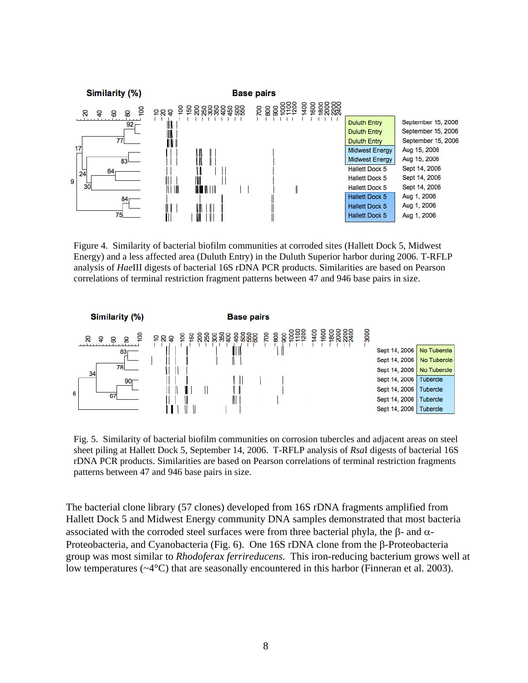

Figure 4. Similarity of bacterial biofilm communities at corroded sites (Hallett Dock 5, Midwest Energy) and a less affected area (Duluth Entry) in the Duluth Superior harbor during 2006. T-RFLP analysis of *Hae*III digests of bacterial 16S rDNA PCR products. Similarities are based on Pearson correlations of terminal restriction fragment patterns between 47 and 946 base pairs in size.



Fig. 5. Similarity of bacterial biofilm communities on corrosion tubercles and adjacent areas on steel sheet piling at Hallett Dock 5, September 14, 2006. T-RFLP analysis of *Rsa*I digests of bacterial 16S rDNA PCR products. Similarities are based on Pearson correlations of terminal restriction fragments patterns between 47 and 946 base pairs in size.

The bacterial clone library (57 clones) developed from 16S rDNA fragments amplified from Hallett Dock 5 and Midwest Energy community DNA samples demonstrated that most bacteria associated with the corroded steel surfaces were from three bacterial phyla, the β- and  $α$ -Proteobacteria, and Cyanobacteria (Fig. 6). One 16S rDNA clone from the β-Proteobacteria group was most similar to *Rhodoferax ferrireducens*. This iron-reducing bacterium grows well at low temperatures (~4°C) that are seasonally encountered in this harbor (Finneran et al. 2003).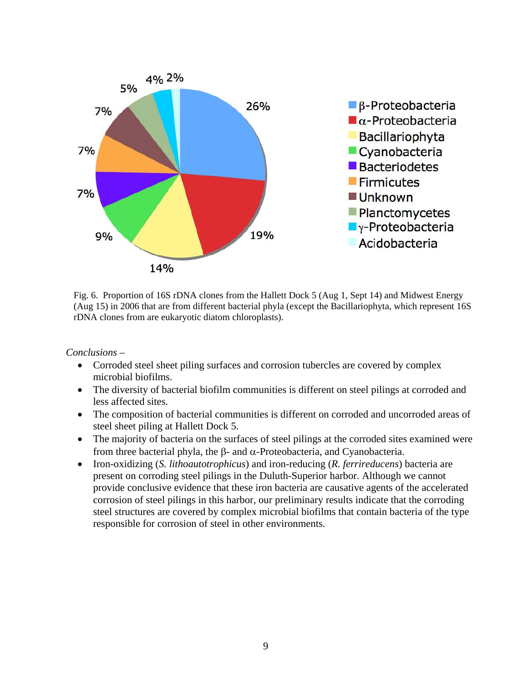

Fig. 6. Proportion of 16S rDNA clones from the Hallett Dock 5 (Aug 1, Sept 14) and Midwest Energy (Aug 15) in 2006 that are from different bacterial phyla (except the Bacillariophyta, which represent 16S rDNA clones from are eukaryotic diatom chloroplasts).

*Conclusions –* 

- Corroded steel sheet piling surfaces and corrosion tubercles are covered by complex microbial biofilms.
- The diversity of bacterial biofilm communities is different on steel pilings at corroded and less affected sites.
- The composition of bacterial communities is different on corroded and uncorroded areas of steel sheet piling at Hallett Dock 5.
- The majority of bacteria on the surfaces of steel pilings at the corroded sites examined were from three bacterial phyla, the β- and α-Proteobacteria, and Cyanobacteria.
- Iron-oxidizing (*S. lithoautotrophicus*) and iron-reducing (*R. ferrireducens*) bacteria are present on corroding steel pilings in the Duluth-Superior harbor. Although we cannot provide conclusive evidence that these iron bacteria are causative agents of the accelerated corrosion of steel pilings in this harbor, our preliminary results indicate that the corroding steel structures are covered by complex microbial biofilms that contain bacteria of the type responsible for corrosion of steel in other environments.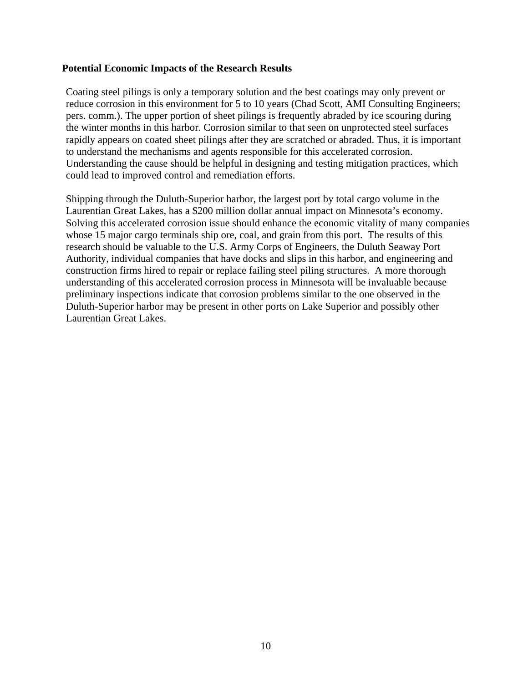#### **Potential Economic Impacts of the Research Results**

Coating steel pilings is only a temporary solution and the best coatings may only prevent or reduce corrosion in this environment for 5 to 10 years (Chad Scott, AMI Consulting Engineers; pers. comm.). The upper portion of sheet pilings is frequently abraded by ice scouring during the winter months in this harbor. Corrosion similar to that seen on unprotected steel surfaces rapidly appears on coated sheet pilings after they are scratched or abraded. Thus, it is important to understand the mechanisms and agents responsible for this accelerated corrosion. Understanding the cause should be helpful in designing and testing mitigation practices, which could lead to improved control and remediation efforts.

Shipping through the Duluth-Superior harbor, the largest port by total cargo volume in the Laurentian Great Lakes, has a \$200 million dollar annual impact on Minnesota's economy. Solving this accelerated corrosion issue should enhance the economic vitality of many companies whose 15 major cargo terminals ship ore, coal, and grain from this port. The results of this research should be valuable to the U.S. Army Corps of Engineers, the Duluth Seaway Port Authority, individual companies that have docks and slips in this harbor, and engineering and construction firms hired to repair or replace failing steel piling structures. A more thorough understanding of this accelerated corrosion process in Minnesota will be invaluable because preliminary inspections indicate that corrosion problems similar to the one observed in the Duluth-Superior harbor may be present in other ports on Lake Superior and possibly other Laurentian Great Lakes.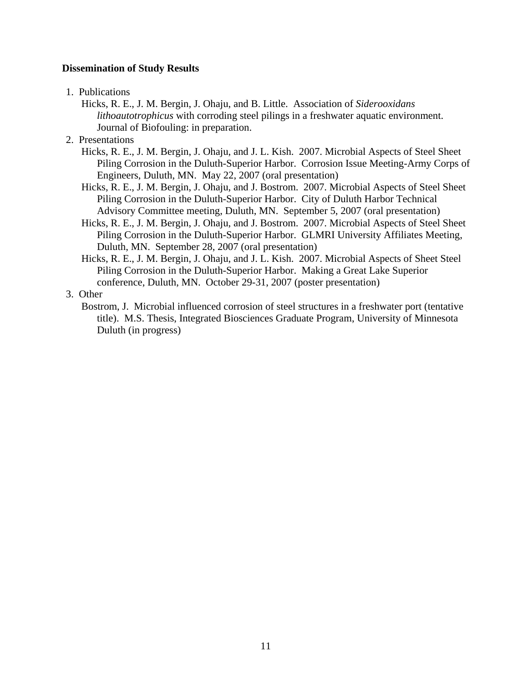# **Dissemination of Study Results**

- 1. Publications
	- Hicks, R. E., J. M. Bergin, J. Ohaju, and B. Little. Association of *Siderooxidans lithoautotrophicus* with corroding steel pilings in a freshwater aquatic environment. Journal of Biofouling: in preparation.
- 2. Presentations
	- Hicks, R. E., J. M. Bergin, J. Ohaju, and J. L. Kish. 2007. Microbial Aspects of Steel Sheet Piling Corrosion in the Duluth-Superior Harbor. Corrosion Issue Meeting-Army Corps of Engineers, Duluth, MN. May 22, 2007 (oral presentation)
	- Hicks, R. E., J. M. Bergin, J. Ohaju, and J. Bostrom. 2007. Microbial Aspects of Steel Sheet Piling Corrosion in the Duluth-Superior Harbor. City of Duluth Harbor Technical Advisory Committee meeting, Duluth, MN. September 5, 2007 (oral presentation)
	- Hicks, R. E., J. M. Bergin, J. Ohaju, and J. Bostrom. 2007. Microbial Aspects of Steel Sheet Piling Corrosion in the Duluth-Superior Harbor. GLMRI University Affiliates Meeting, Duluth, MN. September 28, 2007 (oral presentation)
	- Hicks, R. E., J. M. Bergin, J. Ohaju, and J. L. Kish. 2007. Microbial Aspects of Sheet Steel Piling Corrosion in the Duluth-Superior Harbor. Making a Great Lake Superior conference, Duluth, MN. October 29-31, 2007 (poster presentation)
- 3. Other
	- Bostrom, J. Microbial influenced corrosion of steel structures in a freshwater port (tentative title). M.S. Thesis, Integrated Biosciences Graduate Program, University of Minnesota Duluth (in progress)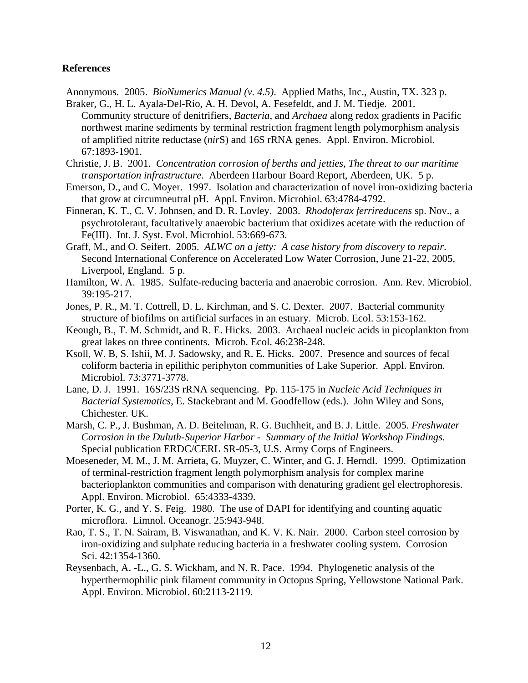#### **References**

Anonymous. 2005. *BioNumerics Manual (v. 4.5)*. Applied Maths, Inc., Austin, TX. 323 p.

- Braker, G., H. L. Ayala-Del-Rio, A. H. Devol, A. Fesefeldt, and J. M. Tiedje. 2001. Community structure of denitrifiers, *Bacteria*, and *Archaea* along redox gradients in Pacific northwest marine sediments by terminal restriction fragment length polymorphism analysis of amplified nitrite reductase (*nir*S) and 16S rRNA genes. Appl. Environ. Microbiol. 67:1893-1901.
- Christie, J. B. 2001. *Concentration corrosion of berths and jetties, The threat to our maritime transportation infrastructure*. Aberdeen Harbour Board Report, Aberdeen, UK. 5 p.
- Emerson, D., and C. Moyer. 1997. Isolation and characterization of novel iron-oxidizing bacteria that grow at circumneutral pH. Appl. Environ. Microbiol. 63:4784-4792.
- Finneran, K. T., C. V. Johnsen, and D. R. Lovley. 2003. *Rhodoferax ferrireducens* sp. Nov., a psychrotolerant, facultatively anaerobic bacterium that oxidizes acetate with the reduction of Fe(III). Int. J. Syst. Evol. Microbiol. 53:669-673.
- Graff, M., and O. Seifert. 2005. *ALWC on a jetty: A case history from discovery to repair*. Second International Conference on Accelerated Low Water Corrosion, June 21-22, 2005, Liverpool, England. 5 p.
- Hamilton, W. A. 1985. Sulfate-reducing bacteria and anaerobic corrosion. Ann. Rev. Microbiol. 39:195-217.
- Jones, P. R., M. T. Cottrell, D. L. Kirchman, and S. C. Dexter. 2007. Bacterial community structure of biofilms on artificial surfaces in an estuary. Microb. Ecol. 53:153-162.
- Keough, B., T. M. Schmidt, and R. E. Hicks. 2003. Archaeal nucleic acids in picoplankton from great lakes on three continents. Microb. Ecol. 46:238-248.
- Ksoll, W. B, S. Ishii, M. J. Sadowsky, and R. E. Hicks. 2007. Presence and sources of fecal coliform bacteria in epilithic periphyton communities of Lake Superior. Appl. Environ. Microbiol. 73:3771-3778.
- Lane, D. J. 1991. 16S/23S rRNA sequencing. Pp. 115-175 in *Nucleic Acid Techniques in Bacterial Systematics*, E. Stackebrant and M. Goodfellow (eds.). John Wiley and Sons, Chichester. UK.
- Marsh, C. P., J. Bushman, A. D. Beitelman, R. G. Buchheit, and B. J. Little. 2005. *Freshwater Corrosion in the Duluth-Superior Harbor - Summary of the Initial Workshop Findings*. Special publication ERDC/CERL SR-05-3, U.S. Army Corps of Engineers.
- Moeseneder, M. M., J. M. Arrieta, G. Muyzer, C. Winter, and G. J. Herndl. 1999. Optimization of terminal-restriction fragment length polymorphism analysis for complex marine bacterioplankton communities and comparison with denaturing gradient gel electrophoresis. Appl. Environ. Microbiol. 65:4333-4339.
- Porter, K. G., and Y. S. Feig. 1980. The use of DAPI for identifying and counting aquatic microflora. Limnol. Oceanogr. 25:943-948.
- Rao, T. S., T. N. Sairam, B. Viswanathan, and K. V. K. Nair. 2000. Carbon steel corrosion by iron-oxidizing and sulphate reducing bacteria in a freshwater cooling system. Corrosion Sci. 42:1354-1360.
- Reysenbach, A. -L., G. S. Wickham, and N. R. Pace. 1994. Phylogenetic analysis of the hyperthermophilic pink filament community in Octopus Spring, Yellowstone National Park. Appl. Environ. Microbiol. 60:2113-2119.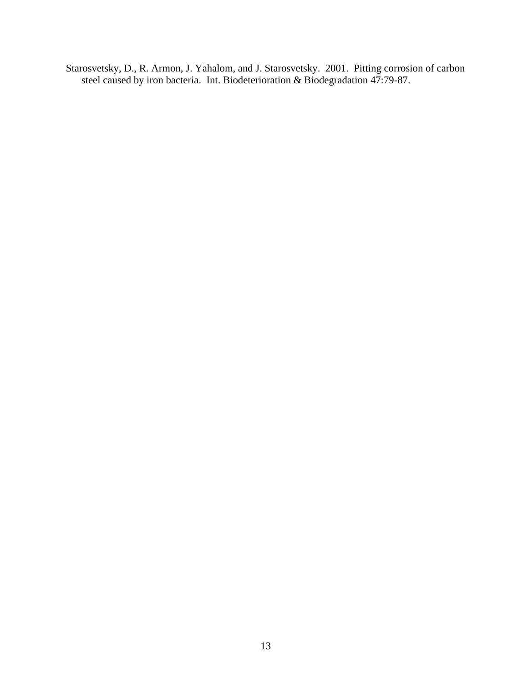Starosvetsky, D., R. Armon, J. Yahalom, and J. Starosvetsky. 2001. Pitting corrosion of carbon steel caused by iron bacteria. Int. Biodeterioration & Biodegradation 47:79-87.